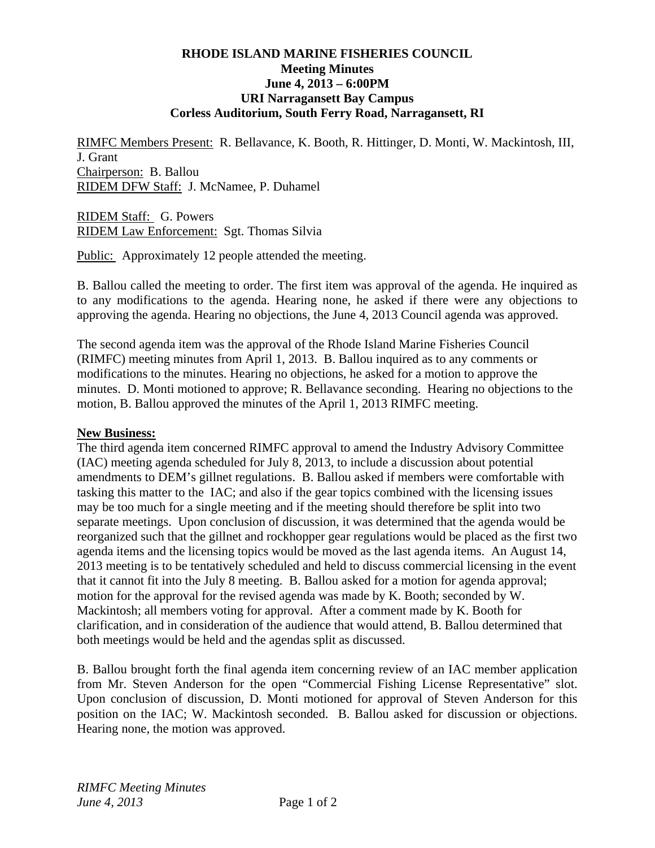## **RHODE ISLAND MARINE FISHERIES COUNCIL Meeting Minutes June 4, 2013 – 6:00PM URI Narragansett Bay Campus Corless Auditorium, South Ferry Road, Narragansett, RI**

RIMFC Members Present: R. Bellavance, K. Booth, R. Hittinger, D. Monti, W. Mackintosh, III, J. Grant Chairperson: B. Ballou RIDEM DFW Staff: J. McNamee, P. Duhamel

RIDEM Staff: G. Powers RIDEM Law Enforcement: Sgt. Thomas Silvia

Public: Approximately 12 people attended the meeting.

B. Ballou called the meeting to order. The first item was approval of the agenda. He inquired as to any modifications to the agenda. Hearing none, he asked if there were any objections to approving the agenda. Hearing no objections, the June 4, 2013 Council agenda was approved.

The second agenda item was the approval of the Rhode Island Marine Fisheries Council (RIMFC) meeting minutes from April 1, 2013. B. Ballou inquired as to any comments or modifications to the minutes. Hearing no objections, he asked for a motion to approve the minutes. D. Monti motioned to approve; R. Bellavance seconding. Hearing no objections to the motion, B. Ballou approved the minutes of the April 1, 2013 RIMFC meeting.

## **New Business:**

The third agenda item concerned RIMFC approval to amend the Industry Advisory Committee (IAC) meeting agenda scheduled for July 8, 2013, to include a discussion about potential amendments to DEM's gillnet regulations. B. Ballou asked if members were comfortable with tasking this matter to the IAC; and also if the gear topics combined with the licensing issues may be too much for a single meeting and if the meeting should therefore be split into two separate meetings. Upon conclusion of discussion, it was determined that the agenda would be reorganized such that the gillnet and rockhopper gear regulations would be placed as the first two agenda items and the licensing topics would be moved as the last agenda items. An August 14, 2013 meeting is to be tentatively scheduled and held to discuss commercial licensing in the event that it cannot fit into the July 8 meeting. B. Ballou asked for a motion for agenda approval; motion for the approval for the revised agenda was made by K. Booth; seconded by W. Mackintosh; all members voting for approval. After a comment made by K. Booth for clarification, and in consideration of the audience that would attend, B. Ballou determined that both meetings would be held and the agendas split as discussed.

B. Ballou brought forth the final agenda item concerning review of an IAC member application from Mr. Steven Anderson for the open "Commercial Fishing License Representative" slot. Upon conclusion of discussion, D. Monti motioned for approval of Steven Anderson for this position on the IAC; W. Mackintosh seconded. B. Ballou asked for discussion or objections. Hearing none, the motion was approved.